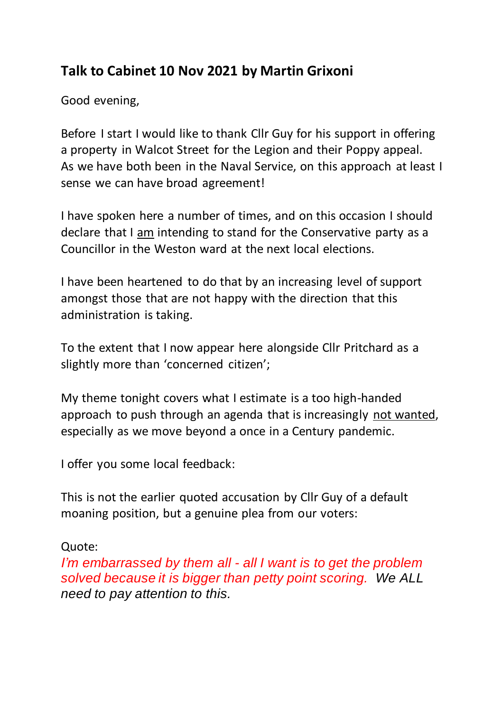## **Talk to Cabinet 10 Nov 2021 by Martin Grixoni**

Good evening,

Before I start I would like to thank Cllr Guy for his support in offering a property in Walcot Street for the Legion and their Poppy appeal. As we have both been in the Naval Service, on this approach at least I sense we can have broad agreement!

I have spoken here a number of times, and on this occasion I should declare that I am intending to stand for the Conservative party as a Councillor in the Weston ward at the next local elections.

I have been heartened to do that by an increasing level of support amongst those that are not happy with the direction that this administration is taking.

To the extent that I now appear here alongside Cllr Pritchard as a slightly more than 'concerned citizen';

My theme tonight covers what I estimate is a too high-handed approach to push through an agenda that is increasingly not wanted, especially as we move beyond a once in a Century pandemic.

I offer you some local feedback:

This is not the earlier quoted accusation by Cllr Guy of a default moaning position, but a genuine plea from our voters:

Quote:

*I'm embarrassed by them all - all I want is to get the problem solved because it is bigger than petty point scoring. We ALL need to pay attention to this.*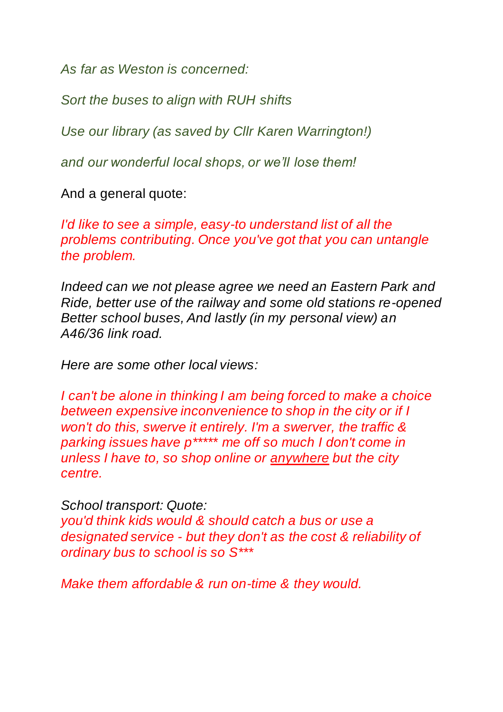*As far as Weston is concerned:*

*Sort the buses to align with RUH shifts*

*Use our library (as saved by Cllr Karen Warrington!)*

*and our wonderful local shops, or we'll lose them!*

And a general quote:

*I'd like to see a simple, easy-to understand list of all the problems contributing. Once you've got that you can untangle the problem.* 

*Indeed can we not please agree we need an Eastern Park and Ride, better use of the railway and some old stations re-opened Better school buses, And lastly (in my personal view) an A46/36 link road.*

*Here are some other local views:*

*I can't be alone in thinking I am being forced to make a choice between expensive inconvenience to shop in the city or if I won't do this, swerve it entirely. I'm a swerver, the traffic & parking issues have p\*\*\*\*\* me off so much I don't come in unless I have to, so shop online or anywhere but the city centre.*

*School transport: Quote:*

*you'd think kids would & should catch a bus or use a designated service - but they don't as the cost & reliability of ordinary bus to school is so S\*\*\**

*Make them affordable & run on-time & they would.*